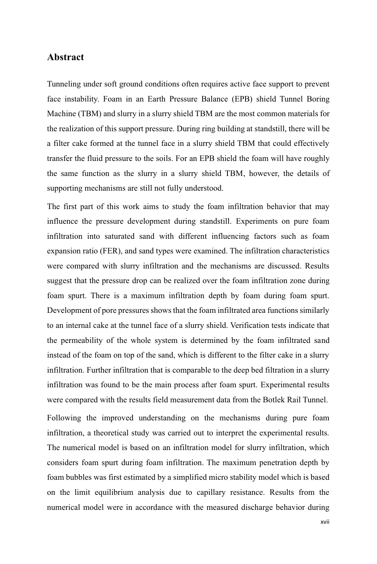## **Abstract**

Tunneling under soft ground conditions often requires active face support to prevent face instability. Foam in an Earth Pressure Balance (EPB) shield Tunnel Boring Machine (TBM) and slurry in a slurry shield TBM are the most common materials for the realization of this support pressure. During ring building at standstill, there will be a filter cake formed at the tunnel face in a slurry shield TBM that could effectively transfer the fluid pressure to the soils. For an EPB shield the foam will have roughly the same function as the slurry in a slurry shield TBM, however, the details of supporting mechanisms are still not fully understood.

The first part of this work aims to study the foam infiltration behavior that may influence the pressure development during standstill. Experiments on pure foam infiltration into saturated sand with different influencing factors such as foam expansion ratio (FER), and sand types were examined. The infiltration characteristics were compared with slurry infiltration and the mechanisms are discussed. Results suggest that the pressure drop can be realized over the foam infiltration zone during foam spurt. There is a maximum infiltration depth by foam during foam spurt. Development of pore pressures shows that the foam infiltrated area functions similarly to an internal cake at the tunnel face of a slurry shield. Verification tests indicate that the permeability of the whole system is determined by the foam infiltrated sand instead of the foam on top of the sand, which is different to the filter cake in a slurry infiltration. Further infiltration that is comparable to the deep bed filtration in a slurry infiltration was found to be the main process after foam spurt. Experimental results were compared with the results field measurement data from the Botlek Rail Tunnel.

Following the improved understanding on the mechanisms during pure foam infiltration, a theoretical study was carried out to interpret the experimental results. The numerical model is based on an infiltration model for slurry infiltration, which considers foam spurt during foam infiltration. The maximum penetration depth by foam bubbles was first estimated by a simplified micro stability model which is based on the limit equilibrium analysis due to capillary resistance. Results from the numerical model were in accordance with the measured discharge behavior during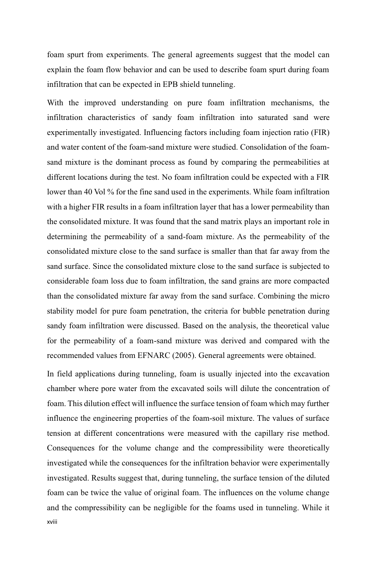foam spurt from experiments. The general agreements suggest that the model can explain the foam flow behavior and can be used to describe foam spurt during foam infiltration that can be expected in EPB shield tunneling.

With the improved understanding on pure foam infiltration mechanisms, the infiltration characteristics of sandy foam infiltration into saturated sand were experimentally investigated. Influencing factors including foam injection ratio (FIR) and water content of the foam-sand mixture were studied. Consolidation of the foamsand mixture is the dominant process as found by comparing the permeabilities at different locations during the test. No foam infiltration could be expected with a FIR lower than 40 Vol % for the fine sand used in the experiments. While foam infiltration with a higher FIR results in a foam infiltration layer that has a lower permeability than the consolidated mixture. It was found that the sand matrix plays an important role in determining the permeability of a sand-foam mixture. As the permeability of the consolidated mixture close to the sand surface is smaller than that far away from the sand surface. Since the consolidated mixture close to the sand surface is subjected to considerable foam loss due to foam infiltration, the sand grains are more compacted than the consolidated mixture far away from the sand surface. Combining the micro stability model for pure foam penetration, the criteria for bubble penetration during sandy foam infiltration were discussed. Based on the analysis, the theoretical value for the permeability of a foam-sand mixture was derived and compared with the recommended values from EFNARC (2005). General agreements were obtained.

xviii In field applications during tunneling, foam is usually injected into the excavation chamber where pore water from the excavated soils will dilute the concentration of foam. This dilution effect will influence the surface tension of foam which may further influence the engineering properties of the foam-soil mixture. The values of surface tension at different concentrations were measured with the capillary rise method. Consequences for the volume change and the compressibility were theoretically investigated while the consequences for the infiltration behavior were experimentally investigated. Results suggest that, during tunneling, the surface tension of the diluted foam can be twice the value of original foam. The influences on the volume change and the compressibility can be negligible for the foams used in tunneling. While it